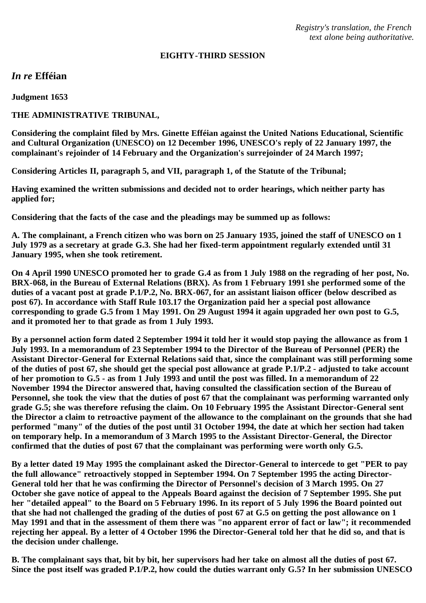*Registry's translation, the French text alone being authoritative.*

#### **EIGHTY-THIRD SESSION**

*In re* **Efféian**

**Judgment 1653**

## **THE ADMINISTRATIVE TRIBUNAL,**

**Considering the complaint filed by Mrs. Ginette Efféian against the United Nations Educational, Scientific and Cultural Organization (UNESCO) on 12 December 1996, UNESCO's reply of 22 January 1997, the complainant's rejoinder of 14 February and the Organization's surrejoinder of 24 March 1997;**

**Considering Articles II, paragraph 5, and VII, paragraph 1, of the Statute of the Tribunal;**

**Having examined the written submissions and decided not to order hearings, which neither party has applied for;**

**Considering that the facts of the case and the pleadings may be summed up as follows:**

**A. The complainant, a French citizen who was born on 25 January 1935, joined the staff of UNESCO on 1 July 1979 as a secretary at grade G.3. She had her fixed-term appointment regularly extended until 31 January 1995, when she took retirement.**

**On 4 April 1990 UNESCO promoted her to grade G.4 as from 1 July 1988 on the regrading of her post, No. BRX-068, in the Bureau of External Relations (BRX). As from 1 February 1991 she performed some of the duties of a vacant post at grade P.1/P.2, No. BRX-067, for an assistant liaison officer (below described as post 67). In accordance with Staff Rule 103.17 the Organization paid her a special post allowance corresponding to grade G.5 from 1 May 1991. On 29 August 1994 it again upgraded her own post to G.5, and it promoted her to that grade as from 1 July 1993.**

**By a personnel action form dated 2 September 1994 it told her it would stop paying the allowance as from 1 July 1993. In a memorandum of 23 September 1994 to the Director of the Bureau of Personnel (PER) the Assistant Director-General for External Relations said that, since the complainant was still performing some of the duties of post 67, she should get the special post allowance at grade P.1/P.2 - adjusted to take account of her promotion to G.5 - as from 1 July 1993 and until the post was filled. In a memorandum of 22 November 1994 the Director answered that, having consulted the classification section of the Bureau of Personnel, she took the view that the duties of post 67 that the complainant was performing warranted only grade G.5; she was therefore refusing the claim. On 10 February 1995 the Assistant Director-General sent the Director a claim to retroactive payment of the allowance to the complainant on the grounds that she had performed "many" of the duties of the post until 31 October 1994, the date at which her section had taken on temporary help. In a memorandum of 3 March 1995 to the Assistant Director-General, the Director confirmed that the duties of post 67 that the complainant was performing were worth only G.5.**

**By a letter dated 19 May 1995 the complainant asked the Director-General to intercede to get "PER to pay the full allowance" retroactively stopped in September 1994. On 7 September 1995 the acting Director-General told her that he was confirming the Director of Personnel's decision of 3 March 1995. On 27 October she gave notice of appeal to the Appeals Board against the decision of 7 September 1995. She put her "detailed appeal" to the Board on 5 February 1996. In its report of 5 July 1996 the Board pointed out that she had not challenged the grading of the duties of post 67 at G.5 on getting the post allowance on 1 May 1991 and that in the assessment of them there was "no apparent error of fact or law"; it recommended rejecting her appeal. By a letter of 4 October 1996 the Director-General told her that he did so, and that is the decision under challenge.**

**B. The complainant says that, bit by bit, her supervisors had her take on almost all the duties of post 67. Since the post itself was graded P.1/P.2, how could the duties warrant only G.5? In her submission UNESCO**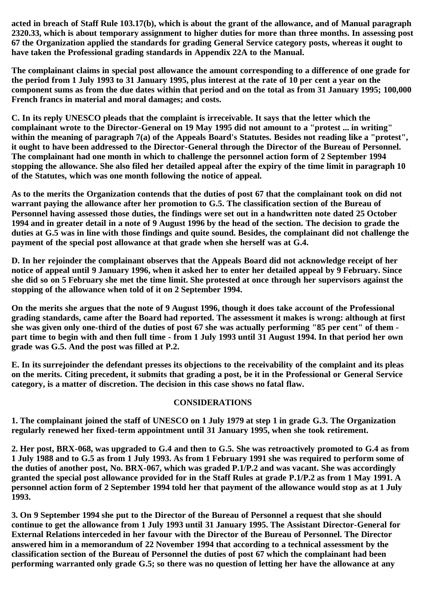**acted in breach of Staff Rule 103.17(b), which is about the grant of the allowance, and of Manual paragraph 2320.33, which is about temporary assignment to higher duties for more than three months. In assessing post 67 the Organization applied the standards for grading General Service category posts, whereas it ought to have taken the Professional grading standards in Appendix 22A to the Manual.**

**The complainant claims in special post allowance the amount corresponding to a difference of one grade for the period from 1 July 1993 to 31 January 1995, plus interest at the rate of 10 per cent a year on the component sums as from the due dates within that period and on the total as from 31 January 1995; 100,000 French francs in material and moral damages; and costs.**

**C. In its reply UNESCO pleads that the complaint is irreceivable. It says that the letter which the complainant wrote to the Director-General on 19 May 1995 did not amount to a "protest ... in writing" within the meaning of paragraph 7(a) of the Appeals Board's Statutes. Besides not reading like a "protest", it ought to have been addressed to the Director-General through the Director of the Bureau of Personnel. The complainant had one month in which to challenge the personnel action form of 2 September 1994 stopping the allowance. She also filed her detailed appeal after the expiry of the time limit in paragraph 10 of the Statutes, which was one month following the notice of appeal.**

**As to the merits the Organization contends that the duties of post 67 that the complainant took on did not warrant paying the allowance after her promotion to G.5. The classification section of the Bureau of Personnel having assessed those duties, the findings were set out in a handwritten note dated 25 October 1994 and in greater detail in a note of 9 August 1996 by the head of the section. The decision to grade the duties at G.5 was in line with those findings and quite sound. Besides, the complainant did not challenge the payment of the special post allowance at that grade when she herself was at G.4.**

**D. In her rejoinder the complainant observes that the Appeals Board did not acknowledge receipt of her notice of appeal until 9 January 1996, when it asked her to enter her detailed appeal by 9 February. Since she did so on 5 February she met the time limit. She protested at once through her supervisors against the stopping of the allowance when told of it on 2 September 1994.**

**On the merits she argues that the note of 9 August 1996, though it does take account of the Professional grading standards, came after the Board had reported. The assessment it makes is wrong: although at first she was given only one-third of the duties of post 67 she was actually performing "85 per cent" of them part time to begin with and then full time - from 1 July 1993 until 31 August 1994. In that period her own grade was G.5. And the post was filled at P.2.**

**E. In its surrejoinder the defendant presses its objections to the receivability of the complaint and its pleas on the merits. Citing precedent, it submits that grading a post, be it in the Professional or General Service category, is a matter of discretion. The decision in this case shows no fatal flaw.**

# **CONSIDERATIONS**

**1. The complainant joined the staff of UNESCO on 1 July 1979 at step 1 in grade G.3. The Organization regularly renewed her fixed-term appointment until 31 January 1995, when she took retirement.**

**2. Her post, BRX-068, was upgraded to G.4 and then to G.5. She was retroactively promoted to G.4 as from 1 July 1988 and to G.5 as from 1 July 1993. As from 1 February 1991 she was required to perform some of the duties of another post, No. BRX-067, which was graded P.1/P.2 and was vacant. She was accordingly granted the special post allowance provided for in the Staff Rules at grade P.1/P.2 as from 1 May 1991. A personnel action form of 2 September 1994 told her that payment of the allowance would stop as at 1 July 1993.**

**3. On 9 September 1994 she put to the Director of the Bureau of Personnel a request that she should continue to get the allowance from 1 July 1993 until 31 January 1995. The Assistant Director-General for External Relations interceded in her favour with the Director of the Bureau of Personnel. The Director answered him in a memorandum of 22 November 1994 that according to a technical assessment by the classification section of the Bureau of Personnel the duties of post 67 which the complainant had been performing warranted only grade G.5; so there was no question of letting her have the allowance at any**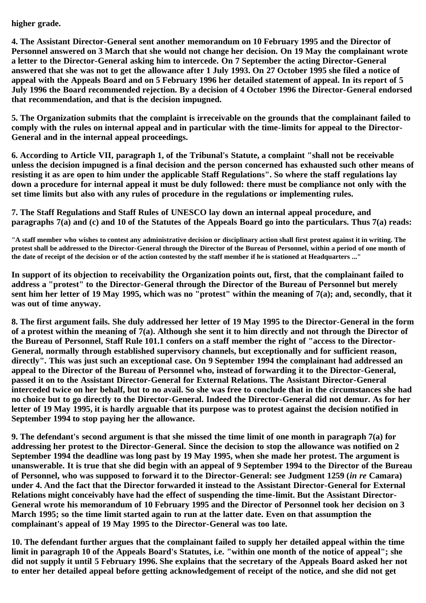# **higher grade.**

**4. The Assistant Director-General sent another memorandum on 10 February 1995 and the Director of Personnel answered on 3 March that she would not change her decision. On 19 May the complainant wrote a letter to the Director-General asking him to intercede. On 7 September the acting Director-General answered that she was not to get the allowance after 1 July 1993. On 27 October 1995 she filed a notice of appeal with the Appeals Board and on 5 February 1996 her detailed statement of appeal. In its report of 5 July 1996 the Board recommended rejection. By a decision of 4 October 1996 the Director-General endorsed that recommendation, and that is the decision impugned.**

**5. The Organization submits that the complaint is irreceivable on the grounds that the complainant failed to comply with the rules on internal appeal and in particular with the time-limits for appeal to the Director-General and in the internal appeal proceedings.**

**6. According to Article VII, paragraph 1, of the Tribunal's Statute, a complaint "shall not be receivable unless the decision impugned is a final decision and the person concerned has exhausted such other means of resisting it as are open to him under the applicable Staff Regulations". So where the staff regulations lay down a procedure for internal appeal it must be duly followed: there must be compliance not only with the set time limits but also with any rules of procedure in the regulations or implementing rules.**

**7. The Staff Regulations and Staff Rules of UNESCO lay down an internal appeal procedure, and paragraphs 7(a) and (c) and 10 of the Statutes of the Appeals Board go into the particulars. Thus 7(a) reads:**

**"A staff member who wishes to contest any administrative decision or disciplinary action shall first protest against it in writing. The protest shall be addressed to the Director-General through the Director of the Bureau of Personnel, within a period of one month of the date of receipt of the decision or of the action contested by the staff member if he is stationed at Headquarters ..."**

**In support of its objection to receivability the Organization points out, first, that the complainant failed to address a "protest" to the Director-General through the Director of the Bureau of Personnel but merely sent him her letter of 19 May 1995, which was no "protest" within the meaning of 7(a); and, secondly, that it was out of time anyway.**

**8. The first argument fails. She duly addressed her letter of 19 May 1995 to the Director-General in the form of a protest within the meaning of 7(a). Although she sent it to him directly and not through the Director of the Bureau of Personnel, Staff Rule 101.1 confers on a staff member the right of "access to the Director-General, normally through established supervisory channels, but exceptionally and for sufficient reason, directly". This was just such an exceptional case. On 9 September 1994 the complainant had addressed an appeal to the Director of the Bureau of Personnel who, instead of forwarding it to the Director-General, passed it on to the Assistant Director-General for External Relations. The Assistant Director-General interceded twice on her behalf, but to no avail. So she was free to conclude that in the circumstances she had no choice but to go directly to the Director-General. Indeed the Director-General did not demur. As for her letter of 19 May 1995, it is hardly arguable that its purpose was to protest against the decision notified in September 1994 to stop paying her the allowance.**

**9. The defendant's second argument is that she missed the time limit of one month in paragraph 7(a) for addressing her protest to the Director-General. Since the decision to stop the allowance was notified on 2 September 1994 the deadline was long past by 19 May 1995, when she made her protest. The argument is unanswerable. It is true that she did begin with an appeal of 9 September 1994 to the Director of the Bureau of Personnel, who was supposed to forward it to the Director-General: see Judgment 1259 (***in re* **Camara) under 4. And the fact that the Director forwarded it instead to the Assistant Director-General for External Relations might conceivably have had the effect of suspending the time-limit. But the Assistant Director-General wrote his memorandum of 10 February 1995 and the Director of Personnel took her decision on 3 March 1995; so the time limit started again to run at the latter date. Even on that assumption the complainant's appeal of 19 May 1995 to the Director-General was too late.**

**10. The defendant further argues that the complainant failed to supply her detailed appeal within the time limit in paragraph 10 of the Appeals Board's Statutes, i.e. "within one month of the notice of appeal"; she did not supply it until 5 February 1996. She explains that the secretary of the Appeals Board asked her not to enter her detailed appeal before getting acknowledgement of receipt of the notice, and she did not get**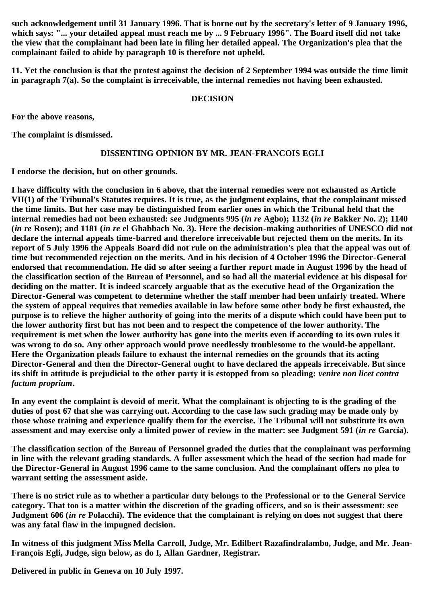**such acknowledgement until 31 January 1996. That is borne out by the secretary's letter of 9 January 1996, which says: "... your detailed appeal must reach me by ... 9 February 1996". The Board itself did not take the view that the complainant had been late in filing her detailed appeal. The Organization's plea that the complainant failed to abide by paragraph 10 is therefore not upheld.**

**11. Yet the conclusion is that the protest against the decision of 2 September 1994 was outside the time limit in paragraph 7(a). So the complaint is irreceivable, the internal remedies not having been exhausted.**

### **DECISION**

**For the above reasons,**

**The complaint is dismissed.**

## **DISSENTING OPINION BY MR. JEAN-FRANCOIS EGLI**

**I endorse the decision, but on other grounds.**

**I have difficulty with the conclusion in 6 above, that the internal remedies were not exhausted as Article VII(1) of the Tribunal's Statutes requires. It is true, as the judgment explains, that the complainant missed the time limits. But her case may be distinguished from earlier ones in which the Tribunal held that the internal remedies had not been exhausted: see Judgments 995 (***in re* **Agbo); 1132 (***in re* **Bakker No. 2); 1140 (***in re* **Rosen); and 1181 (***in re* **el Ghabbach No. 3). Here the decision-making authorities of UNESCO did not declare the internal appeals time-barred and therefore irreceivable but rejected them on the merits. In its report of 5 July 1996 the Appeals Board did not rule on the administration's plea that the appeal was out of time but recommended rejection on the merits. And in his decision of 4 October 1996 the Director-General endorsed that recommendation. He did so after seeing a further report made in August 1996 by the head of the classification section of the Bureau of Personnel, and so had all the material evidence at his disposal for deciding on the matter. It is indeed scarcely arguable that as the executive head of the Organization the Director-General was competent to determine whether the staff member had been unfairly treated. Where the system of appeal requires that remedies available in law before some other body be first exhausted, the purpose is to relieve the higher authority of going into the merits of a dispute which could have been put to the lower authority first but has not been and to respect the competence of the lower authority. The requirement is met when the lower authority has gone into the merits even if according to its own rules it was wrong to do so. Any other approach would prove needlessly troublesome to the would-be appellant. Here the Organization pleads failure to exhaust the internal remedies on the grounds that its acting Director-General and then the Director-General ought to have declared the appeals irreceivable. But since its shift in attitude is prejudicial to the other party it is estopped from so pleading:** *venire non licet contra factum proprium***.**

**In any event the complaint is devoid of merit. What the complainant is objecting to is the grading of the duties of post 67 that she was carrying out. According to the case law such grading may be made only by those whose training and experience qualify them for the exercise. The Tribunal will not substitute its own assessment and may exercise only a limited power of review in the matter: see Judgment 591 (***in re* **García).**

**The classification section of the Bureau of Personnel graded the duties that the complainant was performing in line with the relevant grading standards. A fuller assessment which the head of the section had made for the Director-General in August 1996 came to the same conclusion. And the complainant offers no plea to warrant setting the assessment aside.**

**There is no strict rule as to whether a particular duty belongs to the Professional or to the General Service category. That too is a matter within the discretion of the grading officers, and so is their assessment: see Judgment 606 (***in re* **Polacchi). The evidence that the complainant is relying on does not suggest that there was any fatal flaw in the impugned decision.**

**In witness of this judgment Miss Mella Carroll, Judge, Mr. Edilbert Razafindralambo, Judge, and Mr. Jean-François Egli, Judge, sign below, as do I, Allan Gardner, Registrar.**

**Delivered in public in Geneva on 10 July 1997.**